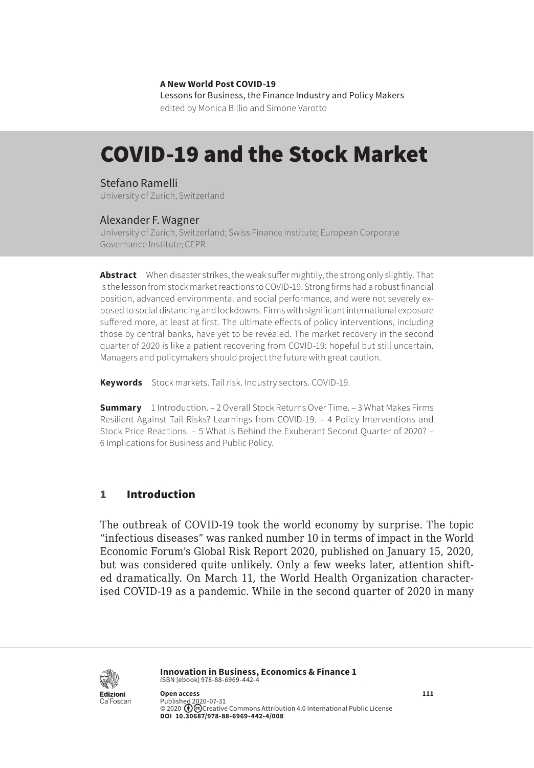#### **A New World Post COVID-19**

Lessons for Business, the Finance Industry and Policy Makers edited by Monica Billio and Simone Varotto

# COVID-19 and the Stock Market

### Stefano Ramelli

University of Zurich, Switzerland

### Alexander F. Wagner

University of Zurich, Switzerland; Swiss Finance Institute; European Corporate Governance Institute; CEPR

**Abstract** When disaster strikes, the weak suffer mightily, the strong only slightly. That is the lesson from stock market reactions to COVID-19. Strong firms had a robust financial position, advanced environmental and social performance, and were not severely exposed to social distancing and lockdowns. Firms with significant international exposure suffered more, at least at first. The ultimate effects of policy interventions, including those by central banks, have yet to be revealed. The market recovery in the second quarter of 2020 is like a patient recovering from COVID-19: hopeful but still uncertain. Managers and policymakers should project the future with great caution.

**Keywords** Stock markets. Tail risk. Industry sectors. COVID-19.

**Summary** [1 Introduction](#page-1-0). – [2 Overall Stock Returns Over Time](#page-1-0). – [3 What Makes Firms](#page-4-0)  [Resilient Against Tail Risks? Learnings from COVID-19](#page-4-0). – [4 Policy Interventions and](#page-6-0)  [Stock Price Reactions.](#page-6-0) – [5 What is Behind the Exuberant Second Quarter of 2020?](#page-8-0) – 6 [Implications for Business and Public Policy.](#page-10-0)

### 1 Introduction

The outbreak of COVID-19 took the world economy by surprise. The topic "infectious diseases" was ranked number 10 in terms of impact in the World Economic Forum's Global Risk Report 2020, published on January 15, 2020, but was considered quite unlikely. Only a few weeks later, attention shifted dramatically. On March 11, the World Health Organization characterised COVID-19 as a pandemic. While in the second quarter of 2020 in many



**Innovation in Business, Economics & Finance 1** ISBN [ebook] 978-88-6969-442-4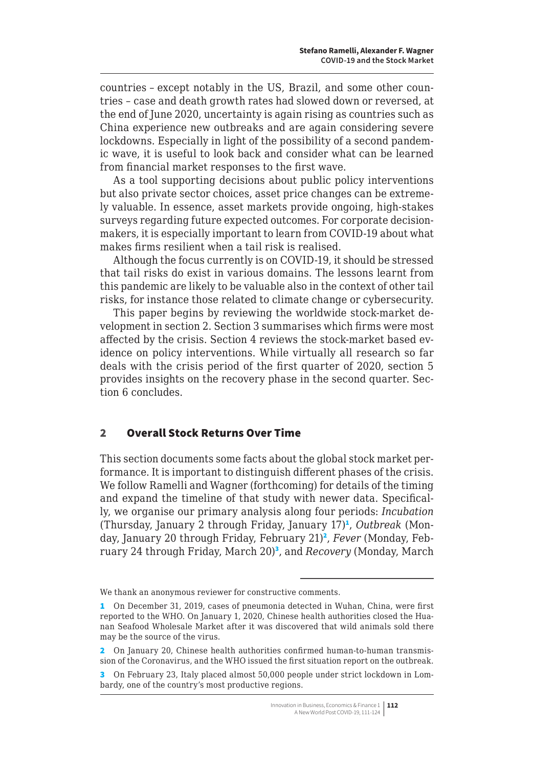<span id="page-1-0"></span>countries – except notably in the US, Brazil, and some other countries – case and death growth rates had slowed down or reversed, at the end of June 2020, uncertainty is again rising as countries such as China experience new outbreaks and are again considering severe lockdowns. Especially in light of the possibility of a second pandemic wave, it is useful to look back and consider what can be learned from financial market responses to the first wave.

As a tool supporting decisions about public policy interventions but also private sector choices, asset price changes can be extremely valuable. In essence, asset markets provide ongoing, high-stakes surveys regarding future expected outcomes. For corporate decisionmakers, it is especially important to learn from COVID-19 about what makes firms resilient when a tail risk is realised.

Although the focus currently is on COVID-19, it should be stressed that tail risks do exist in various domains. The lessons learnt from this pandemic are likely to be valuable also in the context of other tail risks, for instance those related to climate change or cybersecurity.

This paper begins by reviewing the worldwide stock-market development in section 2. Section 3 summarises which firms were most affected by the crisis. Section 4 reviews the stock-market based evidence on policy interventions. While virtually all research so far deals with the crisis period of the first quarter of 2020, section 5 provides insights on the recovery phase in the second quarter. Section 6 concludes.

### 2 Overall Stock Returns Over Time

This section documents some facts about the global stock market performance. It is important to distinguish different phases of the crisis. We follow Ramelli and Wagner (forthcoming) for details of the timing and expand the timeline of that study with newer data. Specifically, we organise our primary analysis along four periods: *Incubation* (Thursday, January 2 through Friday, January 17)<sup>1</sup>, Outbreak (Monday, January 20 through Friday, February 21)<sup>2</sup>, Fever (Monday, February 24 through Friday, March 20)<sup>3</sup>, and *Recovery* (Monday, March

We thank an anonymous reviewer for constructive comments.

<sup>1</sup> On December 31, 2019, cases of pneumonia detected in Wuhan, China, were first reported to the WHO. On January 1, 2020, Chinese health authorities closed the Huanan Seafood Wholesale Market after it was discovered that wild animals sold there may be the source of the virus.

<sup>2</sup> On January 20, Chinese health authorities confirmed human-to-human transmission of the Coronavirus, and the WHO issued the first situation report on the outbreak.

<sup>3</sup> On February 23, Italy placed almost 50,000 people under strict lockdown in Lombardy, one of the country's most productive regions.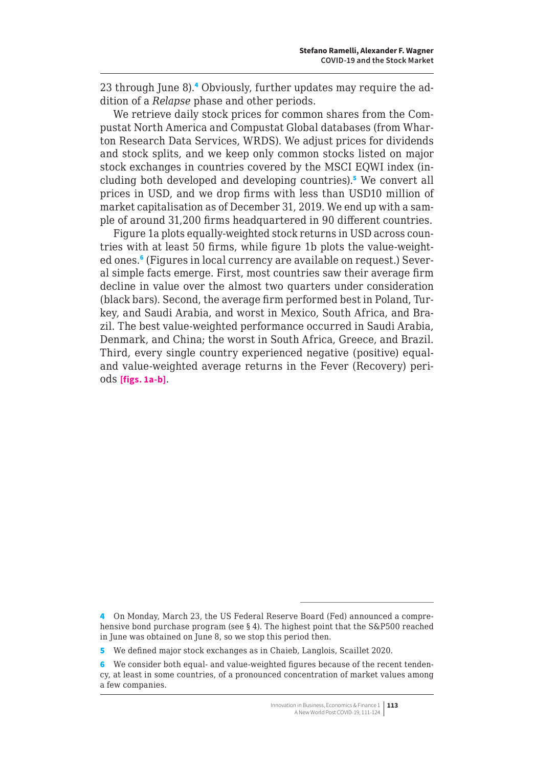23 through June 8).<sup>4</sup> Obviously, further updates may require the addition of a *Relapse* phase and other periods.

We retrieve daily stock prices for common shares from the Compustat North America and Compustat Global databases (from Wharton Research Data Services, WRDS). We adjust prices for dividends and stock splits, and we keep only common stocks listed on major stock exchanges in countries covered by the MSCI EQWI index (including both developed and developing countries).<sup>5</sup> We convert all prices in USD, and we drop firms with less than USD10 million of market capitalisation as of December 31, 2019. We end up with a sample of around 31,200 firms headquartered in 90 different countries.

Figure 1a plots equally-weighted stock returns in USD across countries with at least 50 firms, while figure 1b plots the value-weighted ones.<sup>6</sup> (Figures in local currency are available on request.) Several simple facts emerge. First, most countries saw their average firm decline in value over the almost two quarters under consideration (black bars). Second, the average firm performed best in Poland, Turkey, and Saudi Arabia, and worst in Mexico, South Africa, and Brazil. The best value-weighted performance occurred in Saudi Arabia, Denmark, and China; the worst in South Africa, Greece, and Brazil. Third, every single country experienced negative (positive) equaland value-weighted average returns in the Fever (Recovery) periods **[figs. 1a-b]**.

<sup>4</sup> On Monday, March 23, the US Federal Reserve Board (Fed) announced a comprehensive bond purchase program (see § 4). The highest point that the S&P500 reached in June was obtained on June 8, so we stop this period then.

<sup>5</sup> We defined major stock exchanges as in Chaieb, Langlois, Scaillet 2020.

<sup>6</sup> We consider both equal- and value-weighted figures because of the recent tendency, at least in some countries, of a pronounced concentration of market values among a few companies.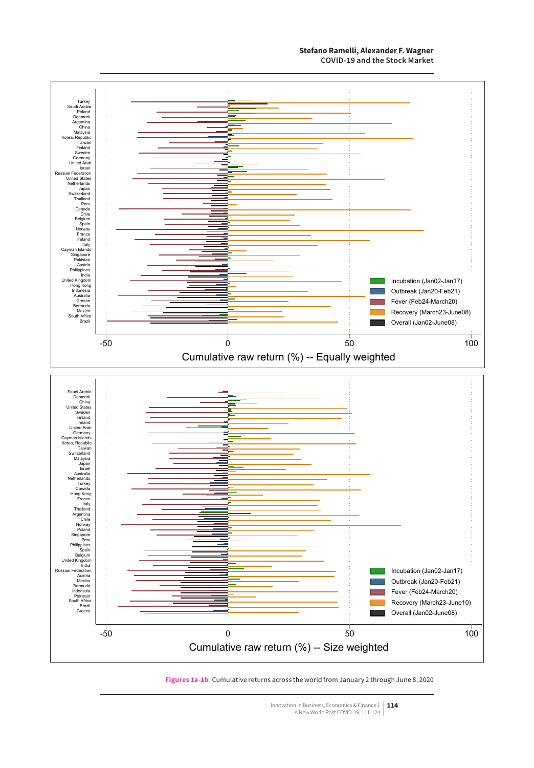#### **Stefano Ramelli, Alexander F. Wagner COVID-19 and the Stock Market**



#### **Figures 1a-1b** Cumulative returns across the world from January 2 through June 8, 2020

Innovation in Business, Economics & Finance 1 **114** A New World Post COVID-19, 111-124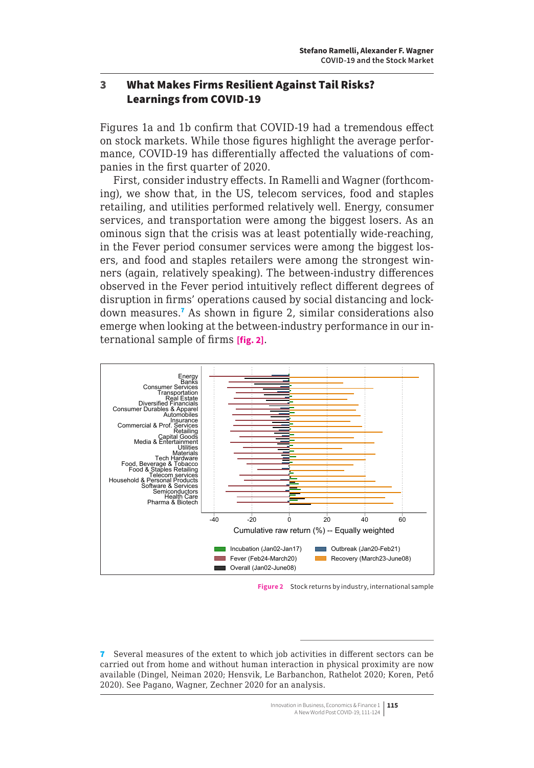## <span id="page-4-0"></span>3 What Makes Firms Resilient Against Tail Risks? Learnings from COVID-19

Figures 1a and 1b confirm that COVID-19 had a tremendous effect on stock markets. While those figures highlight the average performance, COVID-19 has differentially affected the valuations of companies in the first quarter of 2020.

First, consider industry effects. In Ramelli and Wagner (forthcoming), we show that, in the US, telecom services, food and staples retailing, and utilities performed relatively well. Energy, consumer services, and transportation were among the biggest losers. As an ominous sign that the crisis was at least potentially wide-reaching, in the Fever period consumer services were among the biggest losers, and food and staples retailers were among the strongest winners (again, relatively speaking). The between-industry differences observed in the Fever period intuitively reflect different degrees of disruption in firms' operations caused by social distancing and lockdown measures.<sup>7</sup> As shown in figure 2, similar considerations also emerge when looking at the between-industry performance in our international sample of firms **[fig. 2]**.



**Figure 2** Stock returns by industry, international sample

<sup>7</sup> Several measures of the extent to which job activities in different sectors can be carried out from home and without human interaction in physical proximity are now available (Dingel, Neiman 2020; Hensvik, Le Barbanchon, Rathelot 2020; Koren, Pető 2020). See Pagano, Wagner, Zechner 2020 for an analysis.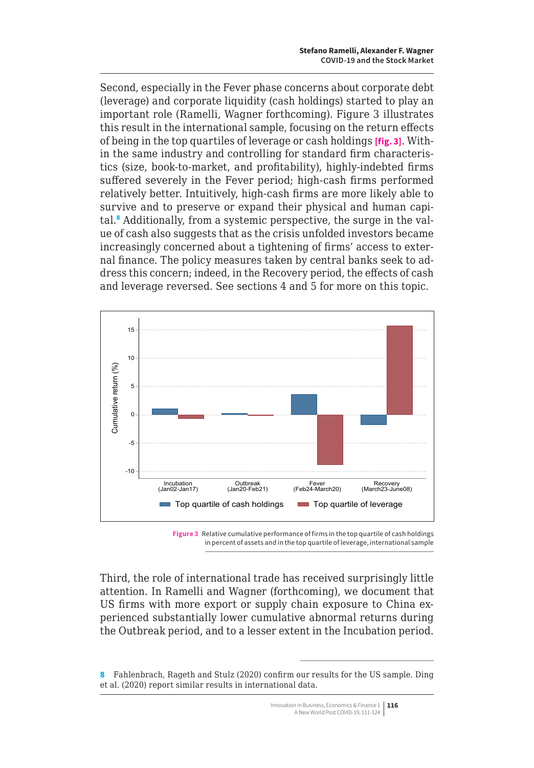Second, especially in the Fever phase concerns about corporate debt (leverage) and corporate liquidity (cash holdings) started to play an important role (Ramelli, Wagner forthcoming). Figure 3 illustrates this result in the international sample, focusing on the return effects of being in the top quartiles of leverage or cash holdings **[fig. 3]**. Within the same industry and controlling for standard firm characteristics (size, book-to-market, and profitability), highly-indebted firms suffered severely in the Fever period; high-cash firms performed relatively better. Intuitively, high-cash firms are more likely able to survive and to preserve or expand their physical and human capital.<sup>8</sup> Additionally, from a systemic perspective, the surge in the value of cash also suggests that as the crisis unfolded investors became increasingly concerned about a tightening of firms' access to external finance. The policy measures taken by central banks seek to address this concern; indeed, in the Recovery period, the effects of cash and leverage reversed. See sections 4 and 5 for more on this topic.



**Figure 3** Relative cumulative performance of firms in the top quartile of cash holdings in percent of assets and in the top quartile of leverage, international sample

Third, the role of international trade has received surprisingly little attention. In Ramelli and Wagner (forthcoming), we document that US firms with more export or supply chain exposure to China experienced substantially lower cumulative abnormal returns during the Outbreak period, and to a lesser extent in the Incubation period.

<sup>8</sup> Fahlenbrach, Rageth and Stulz (2020) confirm our results for the US sample. Ding et al. (2020) report similar results in international data.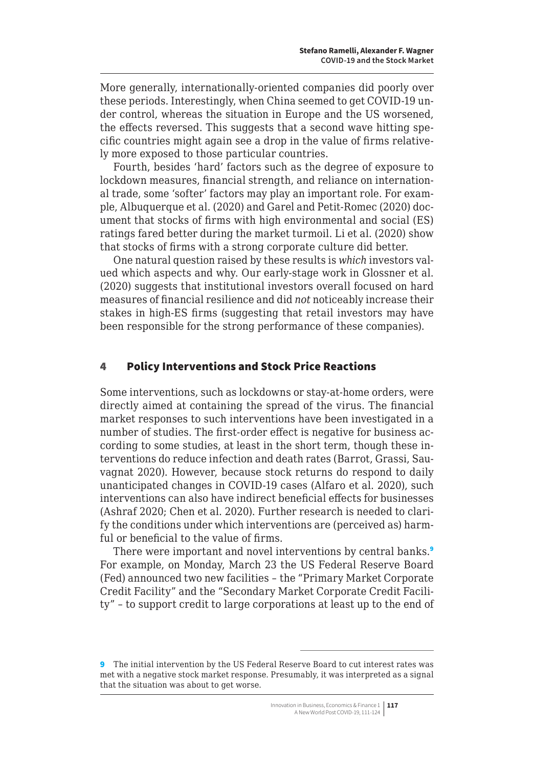<span id="page-6-0"></span>More generally, internationally-oriented companies did poorly over these periods. Interestingly, when China seemed to get COVID-19 under control, whereas the situation in Europe and the US worsened, the effects reversed. This suggests that a second wave hitting specific countries might again see a drop in the value of firms relatively more exposed to those particular countries.

Fourth, besides 'hard' factors such as the degree of exposure to lockdown measures, financial strength, and reliance on international trade, some 'softer' factors may play an important role. For example, Albuquerque et al. (2020) and Garel and Petit-Romec (2020) document that stocks of firms with high environmental and social (ES) ratings fared better during the market turmoil. Li et al. (2020) show that stocks of firms with a strong corporate culture did better.

One natural question raised by these results is *which* investors valued which aspects and why. Our early-stage work in Glossner et al. (2020) suggests that institutional investors overall focused on hard measures of financial resilience and did *not* noticeably increase their stakes in high-ES firms (suggesting that retail investors may have been responsible for the strong performance of these companies).

## 4 Policy Interventions and Stock Price Reactions

Some interventions, such as lockdowns or stay-at-home orders, were directly aimed at containing the spread of the virus. The financial market responses to such interventions have been investigated in a number of studies. The first-order effect is negative for business according to some studies, at least in the short term, though these interventions do reduce infection and death rates (Barrot, Grassi, Sauvagnat 2020). However, because stock returns do respond to daily unanticipated changes in COVID-19 cases (Alfaro et al. 2020), such interventions can also have indirect beneficial effects for businesses (Ashraf 2020; Chen et al. 2020). Further research is needed to clarify the conditions under which interventions are (perceived as) harmful or beneficial to the value of firms.

There were important and novel interventions by central banks.<sup>9</sup> For example, on Monday, March 23 the US Federal Reserve Board (Fed) announced two new facilities – the "Primary Market Corporate Credit Facility" and the "Secondary Market Corporate Credit Facility" – to support credit to large corporations at least up to the end of

<sup>9</sup> The initial intervention by the US Federal Reserve Board to cut interest rates was met with a negative stock market response. Presumably, it was interpreted as a signal that the situation was about to get worse.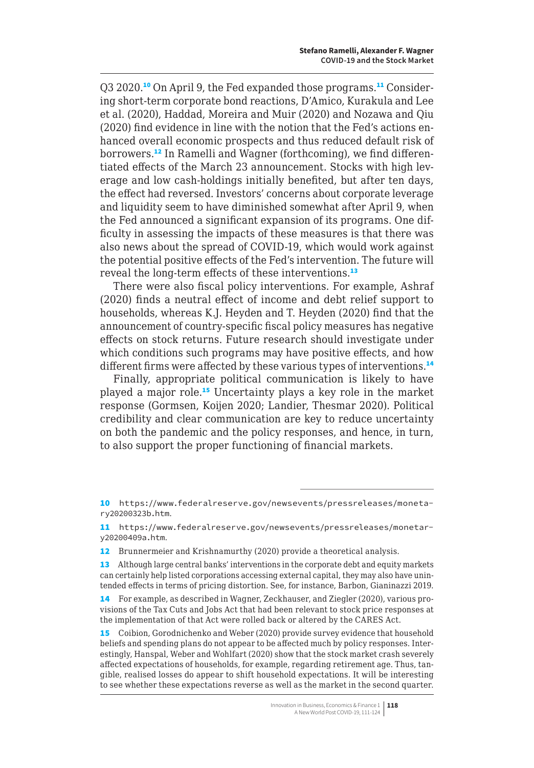Q3 2020.<sup>10</sup> On April 9, the Fed expanded those programs.<sup>11</sup> Considering short-term corporate bond reactions, D'Amico, Kurakula and Lee et al. (2020), Haddad, Moreira and Muir (2020) and Nozawa and Qiu (2020) find evidence in line with the notion that the Fed's actions enhanced overall economic prospects and thus reduced default risk of borrowers.12 In Ramelli and Wagner (forthcoming), we find differentiated effects of the March 23 announcement. Stocks with high leverage and low cash-holdings initially benefited, but after ten days, the effect had reversed. Investors' concerns about corporate leverage and liquidity seem to have diminished somewhat after April 9, when the Fed announced a significant expansion of its programs. One difficulty in assessing the impacts of these measures is that there was also news about the spread of COVID-19, which would work against the potential positive effects of the Fed's intervention. The future will reveal the long-term effects of these interventions.<sup>13</sup>

There were also fiscal policy interventions. For example, Ashraf (2020) finds a neutral effect of income and debt relief support to households, whereas K.J. Heyden and T. Heyden (2020) find that the announcement of country-specific fiscal policy measures has negative effects on stock returns. Future research should investigate under which conditions such programs may have positive effects, and how different firms were affected by these various types of interventions.<sup>14</sup>

Finally, appropriate political communication is likely to have played a major role.<sup>15</sup> Uncertainty plays a key role in the market response (Gormsen, Koijen 2020; Landier, Thesmar 2020). Political credibility and clear communication are key to reduce uncertainty on both the pandemic and the policy responses, and hence, in turn, to also support the proper functioning of financial markets.

15 Coibion, Gorodnichenko and Weber (2020) provide survey evidence that household beliefs and spending plans do not appear to be affected much by policy responses. Interestingly, Hanspal, Weber and Wohlfart (2020) show that the stock market crash severely affected expectations of households, for example, regarding retirement age. Thus, tangible, realised losses do appear to shift household expectations. It will be interesting to see whether these expectations reverse as well as the market in the second quarter.

<sup>10</sup> [https://www.federalreserve.gov/newsevents/pressreleases/moneta](https://www.federalreserve.gov/newsevents/pressreleases/monetary20200323b.htm)[ry20200323b.htm](https://www.federalreserve.gov/newsevents/pressreleases/monetary20200323b.htm).

<sup>11</sup> [https://www.federalreserve.gov/newsevents/pressreleases/monetar](https://www.federalreserve.gov/newsevents/pressreleases/monetary20200409a.htm)[y20200409a.htm](https://www.federalreserve.gov/newsevents/pressreleases/monetary20200409a.htm).

<sup>12</sup> Brunnermeier and Krishnamurthy (2020) provide a theoretical analysis.

<sup>13</sup> Although large central banks' interventions in the corporate debt and equity markets can certainly help listed corporations accessing external capital, they may also have unintended effects in terms of pricing distortion. See, for instance, Barbon, Gianinazzi 2019.

<sup>14</sup> For example, as described in Wagner, Zeckhauser, and Ziegler (2020), various provisions of the Tax Cuts and Jobs Act that had been relevant to stock price responses at the implementation of that Act were rolled back or altered by the CARES Act.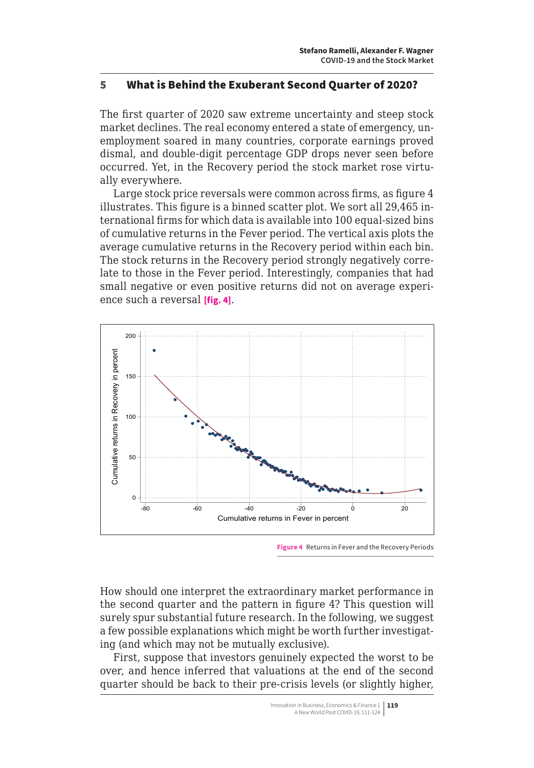### <span id="page-8-0"></span>5 What is Behind the Exuberant Second Quarter of 2020?

The first quarter of 2020 saw extreme uncertainty and steep stock market declines. The real economy entered a state of emergency, unemployment soared in many countries, corporate earnings proved dismal, and double-digit percentage GDP drops never seen before occurred. Yet, in the Recovery period the stock market rose virtually everywhere.

Large stock price reversals were common across firms, as figure 4 illustrates. This figure is a binned scatter plot. We sort all 29,465 international firms for which data is available into 100 equal-sized bins of cumulative returns in the Fever period. The vertical axis plots the average cumulative returns in the Recovery period within each bin. The stock returns in the Recovery period strongly negatively correlate to those in the Fever period. Interestingly, companies that had small negative or even positive returns did not on average experience such a reversal **[fig. 4]**.



**Figure 4** Returns in Fever and the Recovery Periods

How should one interpret the extraordinary market performance in the second quarter and the pattern in figure 4? This question will surely spur substantial future research. In the following, we suggest a few possible explanations which might be worth further investigating (and which may not be mutually exclusive).

First, suppose that investors genuinely expected the worst to be over, and hence inferred that valuations at the end of the second quarter should be back to their pre-crisis levels (or slightly higher,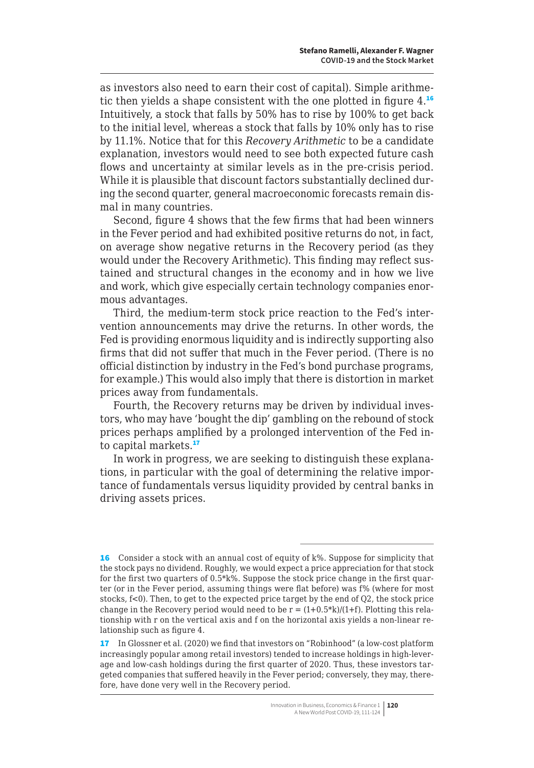as investors also need to earn their cost of capital). Simple arithmetic then yields a shape consistent with the one plotted in figure 4.<sup>16</sup> Intuitively, a stock that falls by 50% has to rise by 100% to get back to the initial level, whereas a stock that falls by 10% only has to rise by 11.1%. Notice that for this *Recovery Arithmetic* to be a candidate explanation, investors would need to see both expected future cash flows and uncertainty at similar levels as in the pre-crisis period. While it is plausible that discount factors substantially declined during the second quarter, general macroeconomic forecasts remain dismal in many countries.

Second, figure 4 shows that the few firms that had been winners in the Fever period and had exhibited positive returns do not, in fact, on average show negative returns in the Recovery period (as they would under the Recovery Arithmetic). This finding may reflect sustained and structural changes in the economy and in how we live and work, which give especially certain technology companies enormous advantages.

Third, the medium-term stock price reaction to the Fed's intervention announcements may drive the returns. In other words, the Fed is providing enormous liquidity and is indirectly supporting also firms that did not suffer that much in the Fever period. (There is no official distinction by industry in the Fed's bond purchase programs, for example.) This would also imply that there is distortion in market prices away from fundamentals.

Fourth, the Recovery returns may be driven by individual investors, who may have 'bought the dip' gambling on the rebound of stock prices perhaps amplified by a prolonged intervention of the Fed into capital markets.<sup>17</sup>

In work in progress, we are seeking to distinguish these explanations, in particular with the goal of determining the relative importance of fundamentals versus liquidity provided by central banks in driving assets prices.

<sup>16</sup> Consider a stock with an annual cost of equity of k%. Suppose for simplicity that the stock pays no dividend. Roughly, we would expect a price appreciation for that stock for the first two quarters of 0.5\*k%. Suppose the stock price change in the first quarter (or in the Fever period, assuming things were flat before) was f% (where for most stocks, f<0). Then, to get to the expected price target by the end of Q2, the stock price change in the Recovery period would need to be  $r = (1+0.5*k)/(1+f)$ . Plotting this relationship with r on the vertical axis and f on the horizontal axis yields a non-linear relationship such as figure 4.

<sup>17</sup> In Glossner et al. (2020) we find that investors on "Robinhood" (a low-cost platform increasingly popular among retail investors) tended to increase holdings in high-leverage and low-cash holdings during the first quarter of 2020. Thus, these investors targeted companies that suffered heavily in the Fever period; conversely, they may, therefore, have done very well in the Recovery period.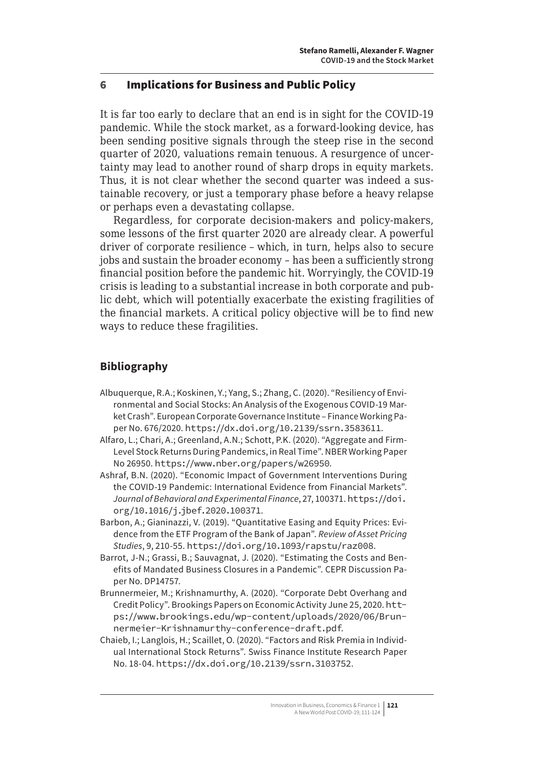### <span id="page-10-0"></span>6 Implications for Business and Public Policy

It is far too early to declare that an end is in sight for the COVID-19 pandemic. While the stock market, as a forward-looking device, has been sending positive signals through the steep rise in the second quarter of 2020, valuations remain tenuous. A resurgence of uncertainty may lead to another round of sharp drops in equity markets. Thus, it is not clear whether the second quarter was indeed a sustainable recovery, or just a temporary phase before a heavy relapse or perhaps even a devastating collapse.

Regardless, for corporate decision-makers and policy-makers, some lessons of the first quarter 2020 are already clear. A powerful driver of corporate resilience – which, in turn, helps also to secure jobs and sustain the broader economy – has been a sufficiently strong financial position before the pandemic hit. Worryingly, the COVID-19 crisis is leading to a substantial increase in both corporate and public debt, which will potentially exacerbate the existing fragilities of the financial markets. A critical policy objective will be to find new ways to reduce these fragilities.

# **Bibliography**

- Albuquerque, R.A.; Koskinen, Y.; Yang, S.; Zhang, C. (2020). "Resiliency of Environmental and Social Stocks: An Analysis of the Exogenous COVID-19 Market Crash". European Corporate Governance Institute – Finance Working Paper No. 676/2020. <https://dx.doi.org/10.2139/ssrn.3583611>.
- Alfaro, L.; Chari, A.; Greenland, A.N.; Schott, P.K. (2020). "Aggregate and Firm-Level Stock Returns During Pandemics, in Real Time". NBER Working Paper No 26950. <https://www.nber.org/papers/w26950>.
- Ashraf, B.N. (2020). "Economic Impact of Government Interventions During the COVID-19 Pandemic: International Evidence from Financial Markets". *Journal of Behavioral and Experimental Finance*, 27, 100371. [https://doi.](https://doi.org/10.1016/j.jbef.2020.100371) [org/10.1016/j.jbef.2020.100371](https://doi.org/10.1016/j.jbef.2020.100371).
- Barbon, A.; Gianinazzi, V. (2019). "Quantitative Easing and Equity Prices: Evidence from the ETF Program of the Bank of Japan". *Review of Asset Pricing Studies*, 9, 210-55. <https://doi.org/10.1093/rapstu/raz008>.
- Barrot, J-N.; Grassi, B.; Sauvagnat, J. (2020). "Estimating the Costs and Benefits of Mandated Business Closures in a Pandemic". CEPR Discussion Paper No. DP14757.
- Brunnermeier, M.; Krishnamurthy, A. (2020). "Corporate Debt Overhang and Credit Policy". Brookings Papers on Economic Activity June 25, 2020. [htt](https://www.brookings.edu/wp-content/uploads/2020/06/Brunnermeier-Krishnamurthy-conference-draft.pdf)[ps://www.brookings.edu/wp-content/uploads/2020/06/Brun](https://www.brookings.edu/wp-content/uploads/2020/06/Brunnermeier-Krishnamurthy-conference-draft.pdf)[nermeier-Krishnamurthy-conference-draft.pdf](https://www.brookings.edu/wp-content/uploads/2020/06/Brunnermeier-Krishnamurthy-conference-draft.pdf).
- Chaieb, I.; Langlois, H.; Scaillet, O. (2020). "Factors and Risk Premia in Individual International Stock Returns". Swiss Finance Institute Research Paper No. 18-04. <https://dx.doi.org/10.2139/ssrn.3103752>.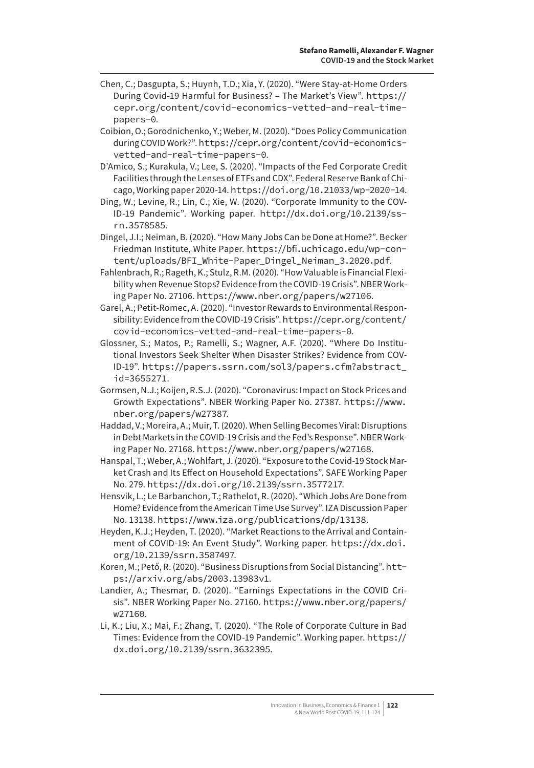- Chen, C.; Dasgupta, S.; Huynh, T.D.; Xia, Y. (2020). "Were Stay-at-Home Orders During Covid-19 Harmful for Business? – The Market's View". [https://](https://cepr.org/content/covid-economics-vetted-and-real-time-papers-0) [cepr.org/content/covid-economics-vetted-and-real-time](https://cepr.org/content/covid-economics-vetted-and-real-time-papers-0)[papers-0](https://cepr.org/content/covid-economics-vetted-and-real-time-papers-0).
- Coibion, O.; Gorodnichenko, Y.; Weber, M. (2020). "Does Policy Communication during COVID Work?". [https://cepr.org/content/covid-economics](https://cepr.org/content/covid-economics-vetted-and-real-time-papers-0)[vetted-and-real-time-papers-0](https://cepr.org/content/covid-economics-vetted-and-real-time-papers-0).
- D'Amico, S.; Kurakula, V.; Lee, S. (2020). "Impacts of the Fed Corporate Credit Facilities through the Lenses of ETFs and CDX". Federal Reserve Bank of Chicago, Working paper 2020-14. <https://doi.org/10.21033/wp-2020-14>.
- Ding, W.; Levine, R.; Lin, C.; Xie, W. (2020). "Corporate Immunity to the COV-ID-19 Pandemic". Working paper. [http://dx.doi.org/10.2139/ss](http://dx.doi.org/10.2139/ssrn.3578585)[rn.3578585](http://dx.doi.org/10.2139/ssrn.3578585).
- Dingel, J.I.; Neiman, B. (2020). "How Many Jobs Can be Done at Home?". Becker Friedman Institute, White Paper. [https://bfi.uchicago.edu/wp-con](https://bfi.uchicago.edu/wp-content/uploads/BFI_White-Paper_Dingel_Neiman_3.2020.pdf)[tent/uploads/BFI\\_White-Paper\\_Dingel\\_Neiman\\_3.2020.pdf](https://bfi.uchicago.edu/wp-content/uploads/BFI_White-Paper_Dingel_Neiman_3.2020.pdf).
- Fahlenbrach, R.; Rageth, K.; Stulz, R.M. (2020). "How Valuable is Financial Flexibility when Revenue Stops? Evidence from the COVID-19 Crisis". NBER Working Paper No. 27106. <https://www.nber.org/papers/w27106>.
- Garel, A.; Petit-Romec, A. (2020). "Investor Rewards to Environmental Responsibility: Evidence from the COVID-19 Crisis". [https://cepr.org/content/](https://cepr.org/content/covid-economics-vetted-and-real-time-papers-0) [covid-economics-vetted-and-real-time-papers-0](https://cepr.org/content/covid-economics-vetted-and-real-time-papers-0).
- Glossner, S.; Matos, P.; Ramelli, S.; Wagner, A.F. (2020). "Where Do Institutional Investors Seek Shelter When Disaster Strikes? Evidence from COV-ID-19". [https://papers.ssrn.com/sol3/papers.cfm?abstract\\_](https://papers.ssrn.com/sol3/papers.cfm?abstract_id=3655271) [id=3655271](https://papers.ssrn.com/sol3/papers.cfm?abstract_id=3655271).
- Gormsen, N.J.; Koijen, R.S.J. (2020). "Coronavirus: Impact on Stock Prices and Growth Expectations". NBER Working Paper No. 27387. [https://www.](https://www.nber.org/papers/w27387) [nber.org/papers/w27387](https://www.nber.org/papers/w27387).
- Haddad, V.; Moreira, A.; Muir, T. (2020). When Selling Becomes Viral: Disruptions in Debt Markets in the COVID-19 Crisis and the Fed's Response". NBER Working Paper No. 27168. <https://www.nber.org/papers/w27168>.
- Hanspal, T.; Weber, A.; Wohlfart, J. (2020). "Exposure to the Covid-19 Stock Market Crash and Its Effect on Household Expectations". SAFE Working Paper No. 279. <https://dx.doi.org/10.2139/ssrn.3577217>.
- Hensvik, L.; Le Barbanchon, T.; Rathelot, R. (2020). "Which Jobs Are Done from Home? Evidence from the American Time Use Survey". IZA Discussion Paper No. 13138. <https://www.iza.org/publications/dp/13138>.
- Heyden, K.J.; Heyden, T. (2020). "Market Reactions to the Arrival and Containment of COVID-19: An Event Study". Working paper. [https://dx.doi.](https://dx.doi.org/10.2139/ssrn.3587497) [org/10.2139/ssrn.3587497](https://dx.doi.org/10.2139/ssrn.3587497).
- Koren, M.; Pető, R. (2020). "Business Disruptions from Social Distancing". [htt](https://arxiv.org/abs/2003.13983v1)[ps://arxiv.org/abs/2003.13983v1](https://arxiv.org/abs/2003.13983v1).
- Landier, A.; Thesmar, D. (2020). "Earnings Expectations in the COVID Crisis". NBER Working Paper No. 27160. [https://www.nber.org/papers/](https://www.nber.org/papers/w27160) [w27160](https://www.nber.org/papers/w27160).
- Li, K.; Liu, X.; Mai, F.; Zhang, T. (2020). "The Role of Corporate Culture in Bad Times: Evidence from the COVID-19 Pandemic". Working paper. [https://](https://dx.doi.org/10.2139/ssrn.3632395) [dx.doi.org/10.2139/ssrn.3632395](https://dx.doi.org/10.2139/ssrn.3632395).